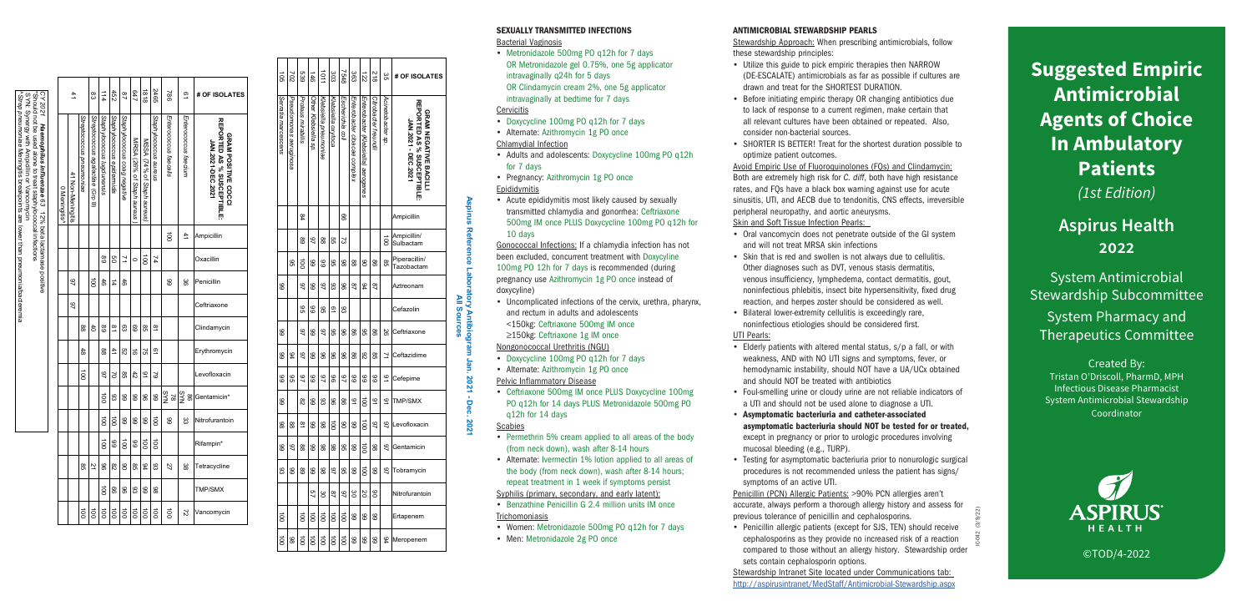**Suggested Empiric Antimicrobial Agents of Choice In Ambulatory Patients** *(1st Edition)*

# **Aspirus Health**

System Antimicrobial Stewardship Subcommittee System Pharmacy and Therapeutics Committee

Created By: Tristan O'Driscoll, PharmD, MPH Infectious Disease Pharmacist System Antimicrobial Stewardship Coordinator



©TOD/4-2022

**Aspirus Reference Laboratory Antibiogram Jan. 2021 - Dec. 2021** All Sources **All Sources**<br>All Sources **All Sources**

- Bacterial Vaginosis • Metronidazole 500mg PO q12h for 7 days OR Metronidazole gel 0.75%, one 5g applicator intravaginally q24h for 5 days OR Clindamycin cream 2%, one 5g applicator intravaginally at bedtime for 7 days **Cervicitis**
- Doxycycline 100mg PO q12h for 7 days
- Alternate: Azithromycin 1g PO once

- Doxycycline 100mg PO q12h for 7 days
- Alternate: Azithromycin 1g PO once

- Permethrin 5% cream applied to all areas of the body (from neck down), wash after 8-14 hours
- Alternate: Ivermectin 1% lotion applied to all areas of the body (from neck down), wash after 8-14 hours; repeat treatment in 1 week if symptoms persist
- Syphilis (primary, secondary, and early latent):
- Benzathine Penicillin G 2.4 million units IM once **Trichomoniasis**
- Women: Metronidazole 500mg PO q12h for 7 days
- Men: Metronidazole 2g PO once

#### SEXUALLY TRANSMITTED INFECTIONS

#### Chlamydial Infection

- Adults and adolescents: Doxycycline 100mg PO q12h for 7 days
- Pregnancy: Azithromycin 1g PO once

### Epididymitis

• Acute epididymitis most likely caused by sexually transmitted chlamydia and gonorrhea: Ceftriaxone 500mg IM once PLUS Doxycycline 100mg PO q12h for 10 days

Gonococcal Infections: If a chlamydia infection has not been excluded, concurrent treatment with Doxycyline 100mg PO 12h for 7 days is recommended (during pregnancy use Azithromycin 1g PO once instead of doxycyline)

• Uncomplicated infections of the cervix, urethra, pharynx, and rectum in adults and adolescents <150kg: Ceftriaxone 500mg IM once ≥150kg: Ceftriaxone 1g IM once

Nongonococcal Urethritis (NGU)

IC-042 (3/9/22) Penicillin (PCN) Allergic Patients: >90% PCN allergies aren't accurate, always perform a thorough allergy history and assess for previous tolerance of penicillin and cephalosporins. • Penicillin allergic patients (except for SJS, TEN) should receive cephalosporins as they provide no increased risk of a reaction compared to those without an allergy history. Stewardship order

Pelvic Inflammatory Disease

• Ceftriaxone 500mg IM once PLUS Doxycycline 100mg PO q12h for 14 days PLUS Metronidazole 500mg PO q12h for 14 days

Scabies

| d<br>So             | 202                    | 639               | $\frac{1}{46}$       | 1011                  | 303                | 8+92             | တ္ထ                          | 122                                 | 812                  | ξg                | # OF ISOLATES                                                                    |
|---------------------|------------------------|-------------------|----------------------|-----------------------|--------------------|------------------|------------------------------|-------------------------------------|----------------------|-------------------|----------------------------------------------------------------------------------|
| Serratia marcescens | Pseudomonas aeruginosa | Proteus mirabilis | Other Klebsiella sp. | Klebsiella pneumoniae | Klebsiella oxytoca | Escherichia coli | Enterobacter cloacae complex | Enterobacter (Klebsiella) aerogenes | Citrobacter freundii | Acinetobacter sp. | <b>REPORTED AS % SUSCEPTIBLE</b><br>GRAM NEGATIVE BACILLI<br>JAN.2021 - DEC.2021 |
|                     |                        | ጅ                 |                      |                       |                    | 8                |                              |                                     |                      |                   | Ampicillin                                                                       |
|                     |                        | 8                 | 97                   | 88                    | g                  | ವ                |                              |                                     |                      | ខ្ញ               | Ampicillin/<br>Sulbactam                                                         |
|                     | ၛၟ                     | ខ្លី              | 8                    | 8                     | ၛၟ                 | 86               | 88                           | ഋ                                   | 8                    | ၛၟ                | Piperacillin/<br>Tazobactam                                                      |
| 8                   |                        | $\overline{6}$    | 8                    | 9                     | 8                  | 8                | 28                           | 54                                  | 87                   |                   | Aztreonam                                                                        |
|                     |                        | ၛၟ                | 8                    | 96                    | <u>ာ့</u>          | ස                |                              |                                     |                      |                   | Cefazolin                                                                        |
| 8                   |                        | 9                 | 8                    | 46                    | 96                 | 96               | 88                           | ၛၟ                                  | 8                    | 29                | Ceftriaxone                                                                      |
| 66                  | 94                     | 46                | 66                   | 96                    | 96                 | 96               | 88                           | 82                                  | 98                   | Σ                 | Ceftazidime                                                                      |
| 66                  | 96                     | $\overline{2}$    | 66                   | $\overline{6}$        | 96                 | 46               | 66                           | 66                                  | 66                   | ە                 | Cefepime                                                                         |
| 66                  |                        | $\frac{8}{2}$     | 66                   | 83                    | 96                 | 98               | 91                           | ខ្ល                                 | ٩                    | ي                 | TMP/SMX                                                                          |
| 86                  | œ                      | $\overline{8}$    | 8                    | 88                    | ខ្ញ                | 06               | 66                           | $\vec{a}$                           | 46                   | 97                | Levofloxacin                                                                     |
| 8                   | 46                     | 88                | 66                   | 88                    | 88                 | ၛၟ               | 8                            | $\vec{a}$                           | 86                   | $\overline{6}$    | Gentamicin                                                                       |
| සි                  | 8                      | 8                 | 8                    | 88                    | 46                 | ၛၟ               | 8                            | š                                   | 8                    | 97                | Tobramycin                                                                       |
|                     |                        |                   | S)                   | ႘                     | 28                 | 46               | ဖွ                           | SO                                  | ဧ                    |                   | Nitrofurantoin                                                                   |
| ឨ                   |                        | ē                 | ខ្ល                  | ē                     | ē                  | ឨ                | 8                            | 8                                   | 8                    |                   | Ertapenem                                                                        |
| $\vec{a}$           | 86                     | $\vec{a}$         | $\vec{8}$            | $\vec{a}$             | $\vec{a}$          | $\vec{a}$        | 66                           | 66                                  | 66                   | 84                | Meropenem                                                                        |

#### ANTIMICROBIAL STEWARDSHIP PEARLS

Stewardship Approach: When prescribing antimicrobials, follow these stewardship principles:

- Utilize this guide to pick empiric therapies then NARROW (DE-ESCALATE) antimicrobials as far as possible if cultures are drawn and treat for the SHORTEST DURATION.
- Before initiating empiric therapy OR changing antibiotics due to lack of response to a current regimen, make certain that all relevant cultures have been obtained or repeated. Also, consider non-bacterial sources.
- SHORTER IS BETTER! Treat for the shortest duration possible to optimize patient outcomes.

Avoid Empiric Use of Fluoroquinolones (FQs) and Clindamycin: Both are extremely high risk for *C. diff*, both have high resistance rates, and FQs have a black box warning against use for acute sinusitis, UTI, and AECB due to tendonitis, CNS effects, irreversible peripheral neuropathy, and aortic aneurysms. Skin and Soft Tissue Infection Pearls:

|                                                                                                                                                                                                                                                            |  |               | 41                |                          |                                  | $\frac{1}{4}$              | 452                        | $\frac{8}{2}$                | 647                       | 8181                       | 2465                    | 982                   | $\overline{Q}$       | # OF ISOLATES                                                          |
|------------------------------------------------------------------------------------------------------------------------------------------------------------------------------------------------------------------------------------------------------------|--|---------------|-------------------|--------------------------|----------------------------------|----------------------------|----------------------------|------------------------------|---------------------------|----------------------------|-------------------------|-----------------------|----------------------|------------------------------------------------------------------------|
| CY 2021 Haemachilus influenzae 63 12% beta lactamase positive<br>Strep pneumoniae Meningitis breakpoints are lower than pneumonia/bacteremia<br>SYN: Synergy with Ampicillin or Vancomycin<br>*Should not be used alone to treat staphylococcal infections |  | 0 Meningitis^ | 41 Non-Meningitis | Streptococcus pneumoniae | Streptococcus agalactiae (Grp B) | Staphylococcus lugdunensis | Staphylococcus epidermidis | Staphylococcus coag negative | MRSA (26% of Staph aureus | MSSA (74% of Staph aureus, | Staphylococcus aureus   | Enterococcus faecalis | Enterococcus faecium | REPORTED AS % SUSCEPTIBLE:<br>GRAM POSITIVE COCCI<br>JAN.2021-DEC.2021 |
|                                                                                                                                                                                                                                                            |  |               |                   |                          |                                  |                            |                            |                              |                           |                            |                         | ē                     | 41                   | Ampicillin                                                             |
|                                                                                                                                                                                                                                                            |  |               |                   |                          |                                  | 68                         | g                          | 7                            | $\circ$                   | $\vec{0}$                  | 74                      |                       |                      | Oxacillin                                                              |
|                                                                                                                                                                                                                                                            |  |               | $\overline{6}$    |                          | ខី                               | 46                         | 14                         | 46                           |                           |                            |                         | 88                    | မ္တ                  | Penicillin                                                             |
|                                                                                                                                                                                                                                                            |  |               | $\overline{6}$    |                          |                                  |                            |                            |                              |                           |                            |                         |                       |                      | Ceftriaxone                                                            |
|                                                                                                                                                                                                                                                            |  |               |                   | $\frac{8}{2}$            | $\overline{6}$                   | 89                         | $\frac{8}{1}$              | ස                            | 69                        | 89                         | $\frac{\infty}{\infty}$ |                       |                      | Clindamycin                                                            |
|                                                                                                                                                                                                                                                            |  |               |                   | $\frac{4}{8}$            |                                  | 88                         | 41                         | S2                           | ಕ                         | 57                         | $\overline{6}$          |                       |                      | Erythromycin                                                           |
|                                                                                                                                                                                                                                                            |  |               |                   | $\vec{a}$                |                                  | 97                         | 2                          | 95                           | 42                        | $\overline{6}$             | $\approx$               |                       |                      | Levofloxacin                                                           |
|                                                                                                                                                                                                                                                            |  |               |                   |                          |                                  | $\vec{a}$                  | 8                          | 8                            | 8                         | 8                          | 8                       | ŠYN<br>8 <sub>2</sub> | SYN<br>8             | Gentamicin*                                                            |
|                                                                                                                                                                                                                                                            |  |               |                   |                          |                                  | ខ្លី                       | ā                          | 8                            | 8                         | 8                          | ā                       | 8                     | జ                    | Nitrofurantoin                                                         |
|                                                                                                                                                                                                                                                            |  |               |                   |                          |                                  | $\vec{0}$                  | 8                          | ā                            | 66                        | $\vec{0}$                  | $\vec{0}$               |                       |                      | Rifampin*                                                              |
|                                                                                                                                                                                                                                                            |  |               |                   | ၛၟ                       | 21                               | 8                          | 82                         | g                            | ၛၟ                        | £                          | 8                       | 27                    | జ                    | Tetracycline                                                           |
|                                                                                                                                                                                                                                                            |  |               |                   |                          |                                  | ē                          | 8                          | 8                            | ස                         | 8                          | 86                      |                       |                      | TMP/SMX                                                                |
|                                                                                                                                                                                                                                                            |  |               |                   | $\vec{a}$                | $\vec{8}$                        | $\overrightarrow{00}$      | $\overrightarrow{00}$      | $\vec{0}$                    | $\vec{8}$                 | $\vec{0}$                  | $\vec{a}$               | ខ្ល                   | 2                    | Vancomycin                                                             |

- Oral vancomycin does not penetrate outside of the GI system and will not treat MRSA skin infections
- Skin that is red and swollen is not always due to cellulitis. Other diagnoses such as DVT, venous stasis dermatitis, venous insufficiency, lymphedema, contact dermatitis, gout, noninfectious phlebitis, insect bite hypersensitivity, fixed drug reaction, and herpes zoster should be considered as well.
- Bilateral lower-extremity cellulitis is exceedingly rare, noninfectious etiologies should be considered first. UTI Pearls:
- Elderly patients with altered mental status, s/p a fall, or with weakness, AND with NO UTI signs and symptoms, fever, or hemodynamic instability, should NOT have a UA/UCx obtained and should NOT be treated with antibiotics
- Foul-smelling urine or cloudy urine are not reliable indicators of a UTI and should not be used alone to diagnose a UTI.
- Asymptomatic bacteriuria and catheter-associated asymptomatic bacteriuria should NOT be tested for or treated, except in pregnancy or prior to urologic procedures involving mucosal bleeding (e.g., TURP).
- Testing for asymptomatic bacteriuria prior to nonurologic surgical procedures is not recommended unless the patient has signs/ symptoms of an active UTI.

sets contain cephalosporin options.

Stewardship Intranet Site located under Communications tab: http://aspirusintranet/MedStaff/Antimicrobial-Stewardship.aspx